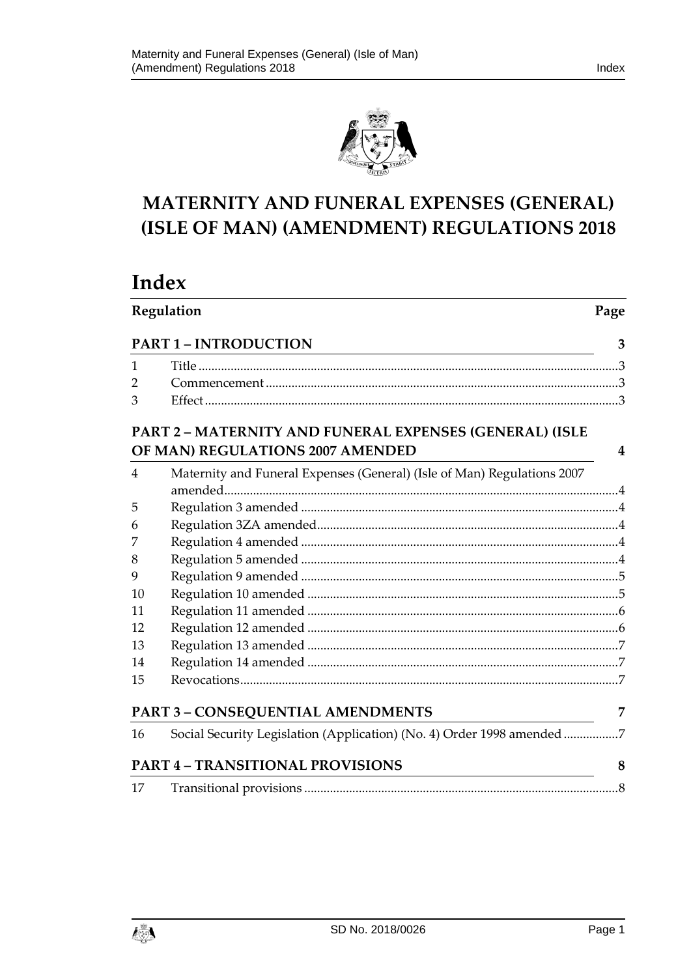

# MATERNITY AND FUNERAL EXPENSES (GENERAL) (ISLE OF MAN) (AMENDMENT) REGULATIONS 2018

# Index

| Regulation |                                                                                                                                                      | Page |
|------------|------------------------------------------------------------------------------------------------------------------------------------------------------|------|
|            | <b>PART 1 - INTRODUCTION</b><br><u> 1989 - Johann Barn, amerikan besteman besteman besteman besteman besteman besteman besteman besteman bestema</u> |      |
| 1          |                                                                                                                                                      |      |
| 2          |                                                                                                                                                      |      |
| 3          |                                                                                                                                                      |      |
|            | PART 2 - MATERNITY AND FUNERAL EXPENSES (GENERAL) (ISLE<br>OF MAN) REGULATIONS 2007 AMENDED                                                          | 4    |
| 4          | Maternity and Funeral Expenses (General) (Isle of Man) Regulations 2007                                                                              |      |
| 5          |                                                                                                                                                      |      |
| 6          |                                                                                                                                                      |      |
| 7          |                                                                                                                                                      |      |
| 8          |                                                                                                                                                      |      |
| 9          |                                                                                                                                                      |      |
| 10         |                                                                                                                                                      |      |
| 11         |                                                                                                                                                      |      |
| 12         |                                                                                                                                                      |      |
| 13         |                                                                                                                                                      |      |
| 14         |                                                                                                                                                      |      |
| 15         |                                                                                                                                                      |      |
|            | PART 3 - CONSEQUENTIAL AMENDMENTS                                                                                                                    | 7    |
| 16         | Social Security Legislation (Application) (No. 4) Order 1998 amended 7                                                                               |      |
|            | <b>PART 4 - TRANSITIONAL PROVISIONS</b>                                                                                                              | 8    |
| 17         |                                                                                                                                                      |      |

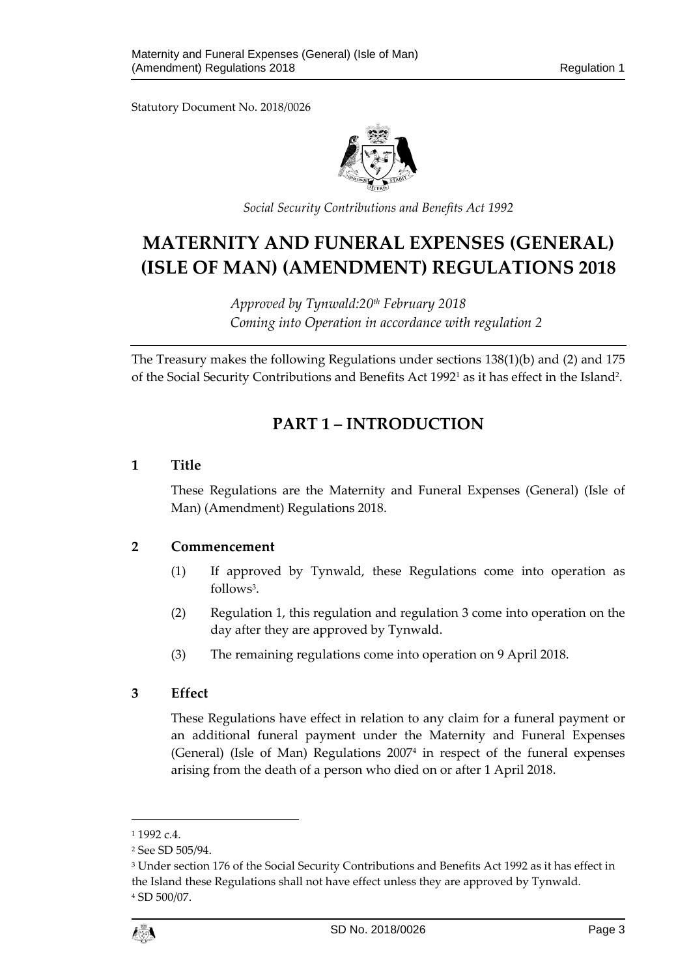

*Social Security Contributions and Benefits Act 1992*

# **MATERNITY AND FUNERAL EXPENSES (GENERAL) (ISLE OF MAN) (AMENDMENT) REGULATIONS 2018**

*Approved by Tynwald:20th February 2018 Coming into Operation in accordance with regulation 2*

<span id="page-2-0"></span>The Treasury makes the following Regulations under sections 138(1)(b) and (2) and 175 of the Social Security Contributions and Benefits Act 1992<sup>1</sup> as it has effect in the Island<sup>2</sup>.

# **PART 1 – INTRODUCTION**

#### <span id="page-2-1"></span>**1 Title**

These Regulations are the Maternity and Funeral Expenses (General) (Isle of Man) (Amendment) Regulations 2018.

#### <span id="page-2-2"></span>**2 Commencement**

- (1) If approved by Tynwald, these Regulations come into operation as follows<sup>3</sup>.
- (2) Regulation 1, this regulation and regulation 3 come into operation on the day after they are approved by Tynwald.
- (3) The remaining regulations come into operation on 9 April 2018.

## <span id="page-2-3"></span>**3 Effect**

These Regulations have effect in relation to any claim for a funeral payment or an additional funeral payment under the Maternity and Funeral Expenses (General) (Isle of Man) Regulations 2007<sup>4</sup> in respect of the funeral expenses arising from the death of a person who died on or after 1 April 2018.

1

 $11992c4$ 

<sup>2</sup> See SD 505/94.

<sup>3</sup> Under section 176 of the Social Security Contributions and Benefits Act 1992 as it has effect in the Island these Regulations shall not have effect unless they are approved by Tynwald. <sup>4</sup> SD 500/07.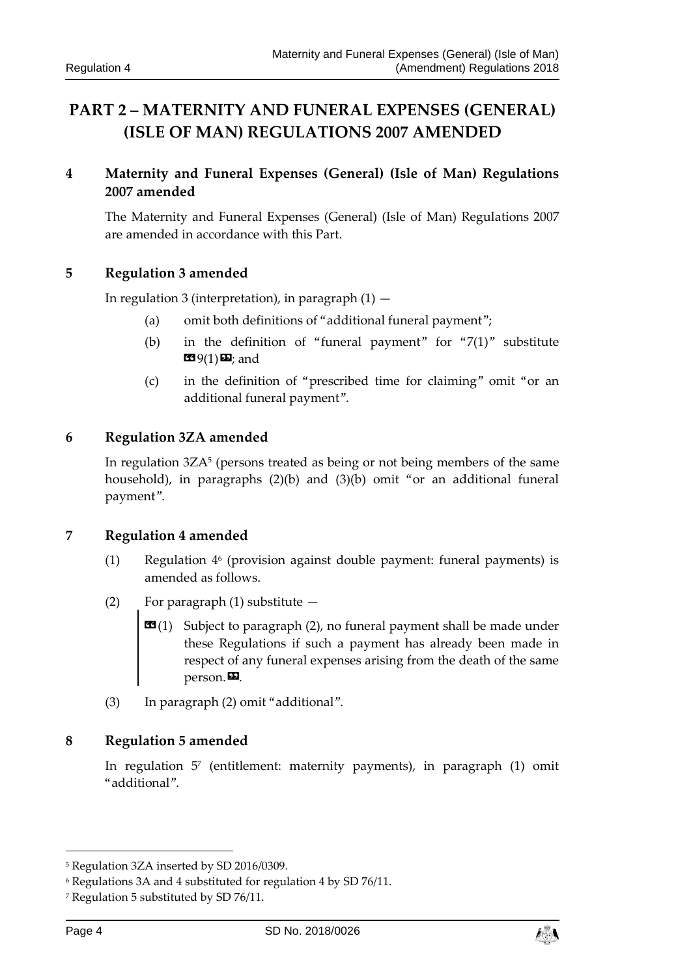# <span id="page-3-0"></span>**PART 2 – MATERNITY AND FUNERAL EXPENSES (GENERAL) (ISLE OF MAN) REGULATIONS 2007 AMENDED**

## <span id="page-3-1"></span>**4 Maternity and Funeral Expenses (General) (Isle of Man) Regulations 2007 amended**

The Maternity and Funeral Expenses (General) (Isle of Man) Regulations 2007 are amended in accordance with this Part.

### <span id="page-3-2"></span>**5 Regulation 3 amended**

In regulation 3 (interpretation), in paragraph  $(1)$  -

- (a) omit both definitions of "additional funeral payment";
- (b) in the definition of "funeral payment" for " $7(1)$ " substitute  $\mathbf{E}\mathbf{9}(1)\mathbf{E}$ ; and
- (c) in the definition of "prescribed time for claiming" omit "or an additional funeral payment".

#### <span id="page-3-3"></span>**6 Regulation 3ZA amended**

In regulation 3ZA<sup>5</sup> (persons treated as being or not being members of the same household), in paragraphs (2)(b) and (3)(b) omit "or an additional funeral payment".

#### <span id="page-3-4"></span>**7 Regulation 4 amended**

- (1) Regulation 4<sup>6</sup> (provision against double payment: funeral payments) is amended as follows.
- (2) For paragraph (1) substitute
	- $\mathbf{G}(1)$  Subject to paragraph (2), no funeral payment shall be made under these Regulations if such a payment has already been made in respect of any funeral expenses arising from the death of the same person. $\boldsymbol{\mathsf{E}}$ .
- (3) In paragraph (2) omit "additional".

#### <span id="page-3-5"></span>**8 Regulation 5 amended**

In regulation 5<sup>7</sup> (entitlement: maternity payments), in paragraph (1) omit "additional".

-



<sup>5</sup> Regulation 3ZA inserted by SD 2016/0309.

<sup>6</sup> Regulations 3A and 4 substituted for regulation 4 by SD 76/11.

<sup>7</sup> Regulation 5 substituted by SD 76/11.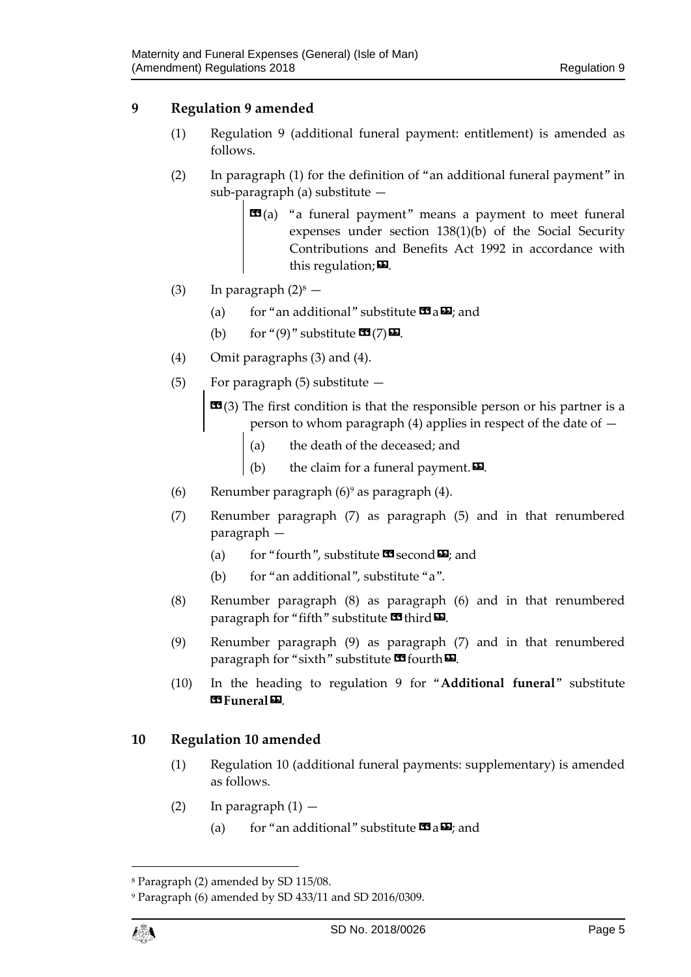### <span id="page-4-0"></span>**9 Regulation 9 amended**

- (1) Regulation 9 (additional funeral payment: entitlement) is amended as follows.
- (2) In paragraph (1) for the definition of "an additional funeral payment" in sub-paragraph (a) substitute —
	- **(a) "a funeral payment" means a payment to meet funeral** expenses under section 138(1)(b) of the Social Security Contributions and Benefits Act 1992 in accordance with this regulation; $\boldsymbol{\mathsf{\Xi}}$ .
- (3) In paragraph  $(2)^8$ 
	- (a) for "an additional" substitute  $\mathbf{G}_a \mathbf{D}$ ; and
	- (b) for "(9)" substitute  $\mathbf{C}$  (7)  $\mathbf{D}$ .
- (4) Omit paragraphs (3) and (4).
- (5) For paragraph  $(5)$  substitute  $-$

 **(3) The first condition is that the responsible person or his partner is a** person to whom paragraph (4) applies in respect of the date of —

- (a) the death of the deceased; and
- (b) the claim for a funeral payment. $\boldsymbol{\mathsf{D}}$ .
- (6) Renumber paragraph  $(6)$ <sup>9</sup> as paragraph  $(4)$ .
- (7) Renumber paragraph (7) as paragraph (5) and in that renumbered paragraph —
	- (a) for "fourth", substitute  $\mathbf{\mathfrak{S}}$  second  $\mathbf{\Sigma}$ ; and
	- (b) for "an additional", substitute "a".
- (8) Renumber paragraph (8) as paragraph (6) and in that renumbered paragraph for "fifth" substitute  $\mathbf{\Omega}$  third  $\mathbf{\Omega}$ .
- (9) Renumber paragraph (9) as paragraph (7) and in that renumbered paragraph for "sixth" substitute  $\mathbf{\Omega}$  fourth  $\mathbf{\Omega}$ .
- (10) In the heading to regulation 9 for "**Additional funeral**" substitute **EG** Funeral **D**

#### <span id="page-4-1"></span>**10 Regulation 10 amended**

- (1) Regulation 10 (additional funeral payments: supplementary) is amended as follows.
- (2) In paragraph  $(1)$ 
	- (a) for "an additional" substitute  $\mathbf{G}$  a  $\mathbf{D}$ ; and

 $\overline{a}$ 

<sup>8</sup> Paragraph (2) amended by SD 115/08.

<sup>9</sup> Paragraph (6) amended by SD 433/11 and SD 2016/0309.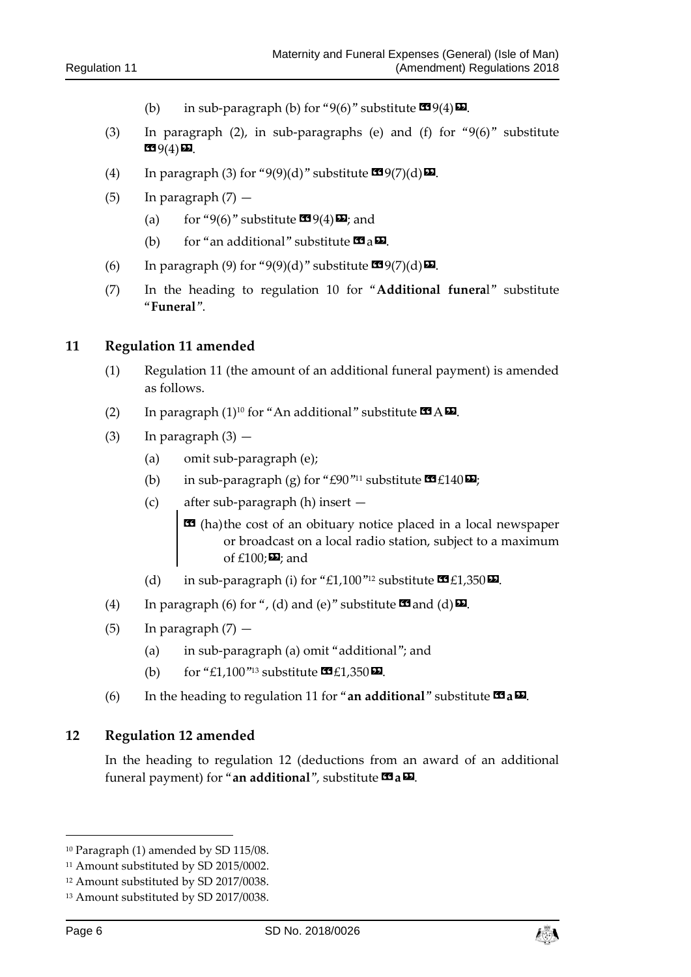- (b) in sub-paragraph (b) for "9(6)" substitute  $\mathbf{\mathfrak{m}}(4)\mathbf{\mathfrak{m}}$ .
- (3) In paragraph (2), in sub-paragraphs (e) and (f) for "9(6)" substitute  $(4)$  $D.$
- (4) In paragraph (3) for "9(9)(d)" substitute  $\mathbf{C}^{9}(7)(d)\mathbf{D}$ .
- $(5)$  In paragraph  $(7)$ 
	- (a) for "9(6)" substitute  $\mathbf{C}$ 9(4) $\mathbf{D}$ ; and
	- (b) for "an additional" substitute  $\mathbf{a} \mathbf{a}$ .
- (6) In paragraph (9) for "9(9)(d)" substitute  $\mathbf{C}$ 9(7)(d) $\mathbf{D}$ .
- (7) In the heading to regulation 10 for "**Additional funera**l" substitute "**Funeral**".

#### <span id="page-5-0"></span>**11 Regulation 11 amended**

- (1) Regulation 11 (the amount of an additional funeral payment) is amended as follows.
- (2) In paragraph  $(1)^{10}$  for "An additional" substitute  $\mathbf{3}$  A $\mathbf{2}$ .
- (3) In paragraph  $(3)$  -
	- (a) omit sub-paragraph (e);
	- (b) in sub-paragraph (g) for "£90"<sup>11</sup> substitute  $\mathbf{C1}$  £140 $\mathbf{E2}$ ;
	- (c) after sub-paragraph (h) insert
		- $\text{1}$  (ha)the cost of an obituary notice placed in a local newspaper or broadcast on a local radio station, subject to a maximum of  $£100;$  $\nabla$ ; and
	- (d) in sub-paragraph (i) for "£1,100"<sup>12</sup> substitute  $\mathbf{\mathfrak{C}}$  £1,350 $\mathbf{\mathfrak{D}}$ .
- (4) In paragraph (6) for ", (d) and (e)" substitute  $\blacksquare$  and (d)  $\blacksquare$ .
- (5) In paragraph  $(7)$ 
	- (a) in sub-paragraph (a) omit "additional"; and
	- (b) for "£1,100"<sup>13</sup> substitute  $\mathbf{\Omega}$ £1,350 $\mathbf{\Omega}$ .
- (6) In the heading to regulation 11 for "**an additional**" substitute  $\mathbf{F}$  **a** $\mathbf{E}$ .

#### <span id="page-5-1"></span>**12 Regulation 12 amended**

In the heading to regulation 12 (deductions from an award of an additional funeral payment) for "an additional", substitute **14 a**  $\Omega$ .

1



<sup>10</sup> Paragraph (1) amended by SD 115/08.

<sup>&</sup>lt;sup>11</sup> Amount substituted by SD 2015/0002.

<sup>12</sup> Amount substituted by SD 2017/0038.

<sup>13</sup> Amount substituted by SD 2017/0038.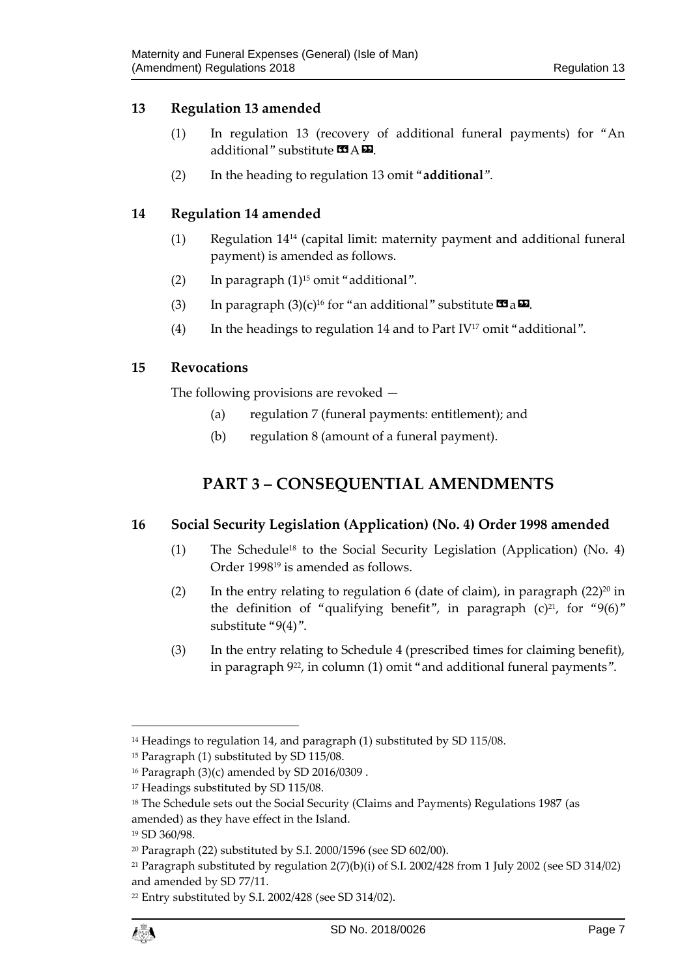#### <span id="page-6-0"></span>**13 Regulation 13 amended**

- (1) In regulation 13 (recovery of additional funeral payments) for "An additional" substitute  $\mathbf{A} \mathbf{E}$ .
- (2) In the heading to regulation 13 omit "**additional**".

#### <span id="page-6-1"></span>**14 Regulation 14 amended**

- (1) Regulation 14<sup>14</sup> (capital limit: maternity payment and additional funeral payment) is amended as follows.
- (2) In paragraph  $(1)^{15}$  omit "additional".
- (3) In paragraph  $(3)(c)^{16}$  for "an additional" substitute  $\mathbf{C}$  a $\mathbf{\Sigma}$ .
- (4) In the headings to regulation 14 and to Part IV<sup>17</sup> omit "additional".

#### <span id="page-6-2"></span>**15 Revocations**

<span id="page-6-3"></span>The following provisions are revoked —

- (a) regulation 7 (funeral payments: entitlement); and
- (b) regulation 8 (amount of a funeral payment).

## **PART 3 – CONSEQUENTIAL AMENDMENTS**

#### <span id="page-6-4"></span>**16 Social Security Legislation (Application) (No. 4) Order 1998 amended**

- (1) The Schedule<sup>18</sup> to the Social Security Legislation (Application) (No. 4) Order 1998<sup>19</sup> is amended as follows.
- (2) In the entry relating to regulation 6 (date of claim), in paragraph  $(22)^{20}$  in the definition of "qualifying benefit", in paragraph  $(c)^{21}$ , for "9(6)" substitute "9(4)".
- (3) In the entry relating to Schedule 4 (prescribed times for claiming benefit), in paragraph 922, in column (1) omit "and additional funeral payments".

1

<sup>&</sup>lt;sup>14</sup> Headings to regulation 14, and paragraph (1) substituted by SD 115/08.

<sup>&</sup>lt;sup>15</sup> Paragraph (1) substituted by SD 115/08.

<sup>16</sup> Paragraph (3)(c) amended by SD 2016/0309 .

<sup>&</sup>lt;sup>17</sup> Headings substituted by SD 115/08.

<sup>&</sup>lt;sup>18</sup> The Schedule sets out the Social Security (Claims and Payments) Regulations 1987 (as amended) as they have effect in the Island.

<sup>19</sup> SD 360/98.

<sup>20</sup> Paragraph (22) substituted by S.I. 2000/1596 (see SD 602/00).

<sup>21</sup> Paragraph substituted by regulation 2(7)(b)(i) of S.I. 2002/428 from 1 July 2002 (see SD 314/02) and amended by SD 77/11.

<sup>22</sup> Entry substituted by S.I. 2002/428 (see SD 314/02).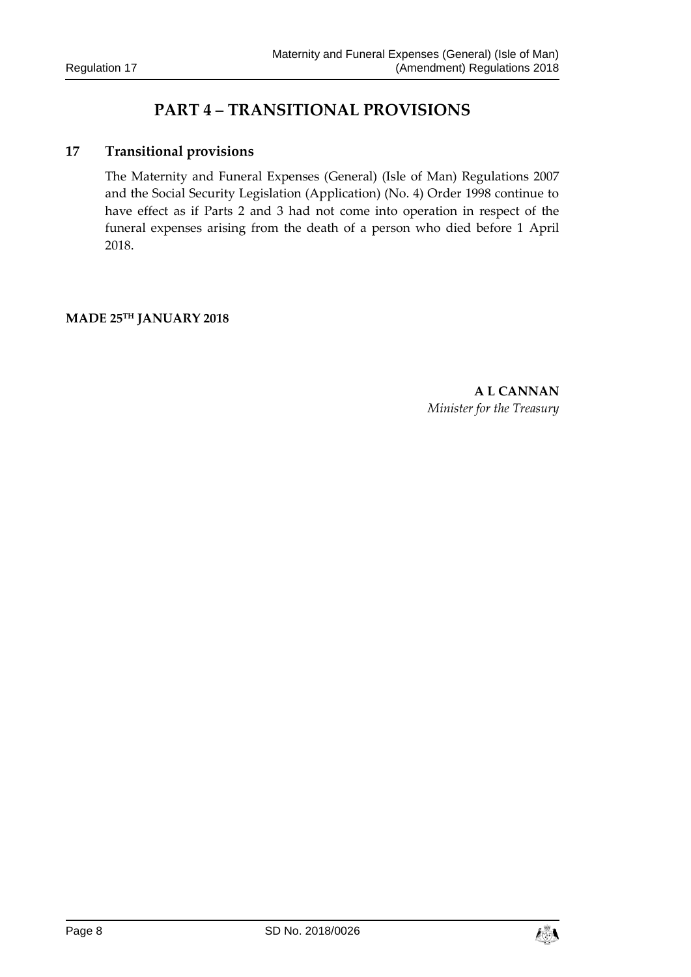## **PART 4 – TRANSITIONAL PROVISIONS**

#### <span id="page-7-1"></span><span id="page-7-0"></span>**17 Transitional provisions**

The Maternity and Funeral Expenses (General) (Isle of Man) Regulations 2007 and the Social Security Legislation (Application) (No. 4) Order 1998 continue to have effect as if Parts 2 and 3 had not come into operation in respect of the funeral expenses arising from the death of a person who died before 1 April 2018.

#### **MADE 25TH JANUARY 2018**

**A L CANNAN** *Minister for the Treasury*